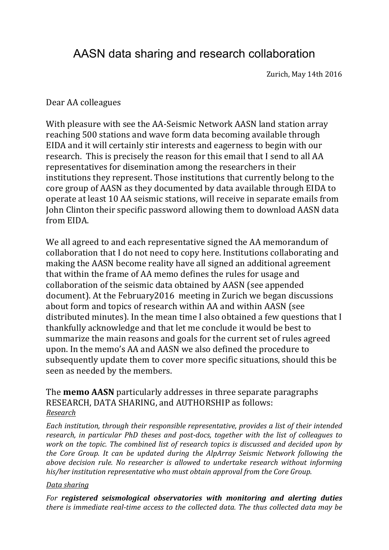# AASN data sharing and research collaboration

Zurich, May 14th 2016

## Dear AA colleagues

With pleasure with see the AA-Seismic Network AASN land station array reaching 500 stations and wave form data becoming available through EIDA and it will certainly stir interests and eagerness to begin with our research. This is precisely the reason for this email that I send to all AA representatives for disemination among the researchers in their institutions they represent. Those institutions that currently belong to the core group of AASN as they documented by data available through EIDA to operate at least 10 AA seismic stations, will receive in separate emails from John Clinton their specific password allowing them to download AASN data from EIDA

We all agreed to and each representative signed the AA memorandum of collaboration that I do not need to copy here. Institutions collaborating and making the AASN become reality have all signed an additional agreement that within the frame of AA memo defines the rules for usage and collaboration of the seismic data obtained by AASN (see appended document). At the February 2016 meeting in Zurich we began discussions about form and topics of research within AA and within AASN (see distributed minutes). In the mean time I also obtained a few questions that I thankfully acknowledge and that let me conclude it would be best to summarize the main reasons and goals for the current set of rules agreed upon. In the memo's AA and AASN we also defined the procedure to subsequently update them to cover more specific situations, should this be seen as needed by the members.

## The **memo AASN** particularly addresses in three separate paragraphs RESEARCH, DATA SHARING, and AUTHORSHIP as follows: *Research*

*Each institution, through their responsible representative, provides a list of their intended research, in particular PhD theses and post-docs, together with the list of colleagues to work* on the topic. The combined list of research topics is discussed and decided upon by *the Core Group. It can be updated during the AlpArray Seismic Network following the above decision rule. No researcher is allowed to undertake research without informing* his/her institution representative who must obtain approval from the Core Group.

### *Data sharing*

For **registered** seismological observatories with monitoring and alerting duties *there is immediate real-time access to the collected data. The thus collected data may be*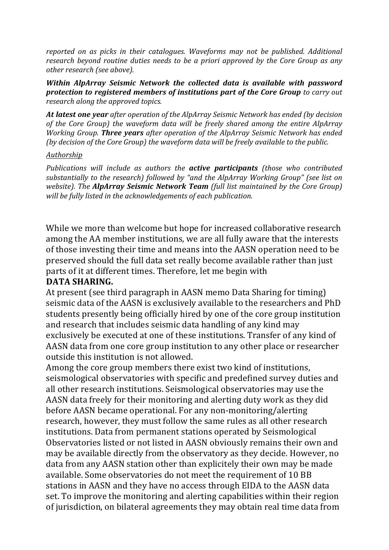*reported* on as picks in their catalogues. Waveforms may not be published. Additional *research beyond routine duties needs to be a priori approved by the Core Group as any other research (see above).* 

*Within AlpArray Seismic Network the collected data is available with password* **protection to registered members of institutions part of the Core Group** to carry out *research along the approved topics.* 

At *latest one year after operation of the AlpArray Seismic Network has ended (by decision of the Core Group)* the waveform data will be freely shared among the entire AlpArray *Working Group. Three years after operation of the AlpArray Seismic Network has ended (by decision of the Core Group)* the waveform data will be freely available to the public.

#### *Authorship*

*Publications* will include as authors the **active participants** (those who contributed substantially to the research) followed by "and the AlpArray Working Group" (see list on *website).* The **AlpArray Seismic Network Team** (full list maintained by the Core Group) will be fully listed in the acknowledgements of each publication.

While we more than welcome but hope for increased collaborative research among the AA member institutions, we are all fully aware that the interests of those investing their time and means into the AASN operation need to be preserved should the full data set really become available rather than just parts of it at different times. Therefore, let me begin with

## DATA SHARING.

At present (see third paragraph in AASN memo Data Sharing for timing) seismic data of the AASN is exclusively available to the researchers and PhD students presently being officially hired by one of the core group institution and research that includes seismic data handling of any kind may exclusively be executed at one of these institutions. Transfer of any kind of AASN data from one core group institution to any other place or researcher outside this institution is not allowed.

Among the core group members there exist two kind of institutions, seismological observatories with specific and predefined survey duties and all other research institutions. Seismological observatories may use the AASN data freely for their monitoring and alerting duty work as they did before AASN became operational. For any non-monitoring/alerting research, however, they must follow the same rules as all other research institutions. Data from permanent stations operated by Seismological Observatories listed or not listed in AASN obviously remains their own and may be available directly from the observatory as they decide. However, no data from any AASN station other than explicitely their own may be made available. Some observatories do not meet the requirement of 10 BB stations in AASN and they have no access through EIDA to the AASN data set. To improve the monitoring and alerting capabilities within their region of jurisdiction, on bilateral agreements they may obtain real time data from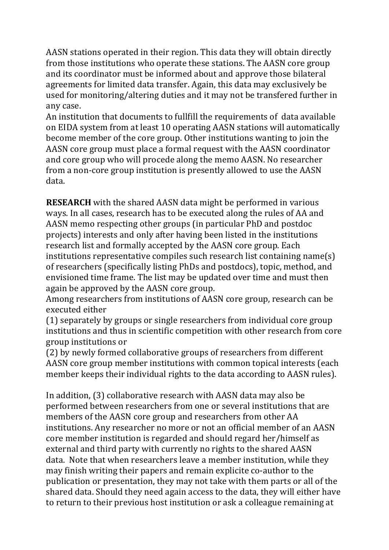AASN stations operated in their region. This data they will obtain directly from those institutions who operate these stations. The AASN core group and its coordinator must be informed about and approve those bilateral agreements for limited data transfer. Again, this data may exclusively be used for monitoring/altering duties and it may not be transfered further in any case.

An institution that documents to fullfill the requirements of data available on EIDA system from at least 10 operating AASN stations will automatically become member of the core group. Other institutions wanting to join the AASN core group must place a formal request with the AASN coordinator and core group who will procede along the memo AASN. No researcher from a non-core group institution is presently allowed to use the AASN data.

**RESEARCH** with the shared AASN data might be performed in various ways. In all cases, research has to be executed along the rules of AA and AASN memo respecting other groups (in particular PhD and postdoc projects) interests and only after having been listed in the institutions research list and formally accepted by the AASN core group. Each institutions representative compiles such research list containing  $name(s)$ of researchers (specifically listing PhDs and postdocs), topic, method, and envisioned time frame. The list may be updated over time and must then again be approved by the AASN core group.

Among researchers from institutions of AASN core group, research can be executed either

 $(1)$  separately by groups or single researchers from individual core group institutions and thus in scientific competition with other research from core group institutions or

(2) by newly formed collaborative groups of researchers from different AASN core group member institutions with common topical interests (each member keeps their individual rights to the data according to AASN rules).

In addition, (3) collaborative research with AASN data may also be performed between researchers from one or several institutions that are members of the AASN core group and researchers from other AA institutions. Any researcher no more or not an official member of an AASN core member institution is regarded and should regard her/himself as external and third party with currently no rights to the shared AASN data. Note that when researchers leave a member institution, while they may finish writing their papers and remain explicite co-author to the publication or presentation, they may not take with them parts or all of the shared data. Should they need again access to the data, they will either have to return to their previous host institution or ask a colleague remaining at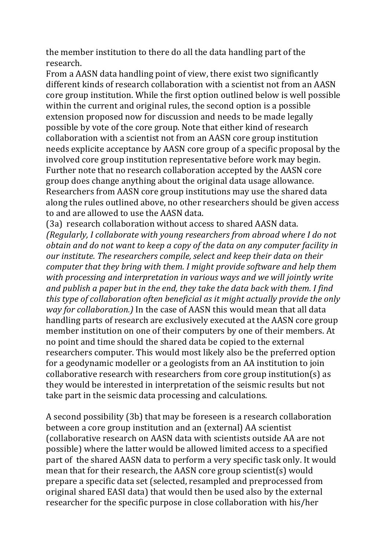the member institution to there do all the data handling part of the research.

From a AASN data handling point of view, there exist two significantly different kinds of research collaboration with a scientist not from an AASN core group institution. While the first option outlined below is well possible within the current and original rules, the second option is a possible extension proposed now for discussion and needs to be made legally possible by vote of the core group. Note that either kind of research collaboration with a scientist not from an AASN core group institution needs explicite acceptance by AASN core group of a specific proposal by the involved core group institution representative before work may begin. Further note that no research collaboration accepted by the AASN core group does change anything about the original data usage allowance. Researchers from AASN core group institutions may use the shared data along the rules outlined above, no other researchers should be given access to and are allowed to use the AASN data.

(3a) research collaboration without access to shared AASN data. *(Regularly, I collaborate with young researchers from abroad where I do not obtain and do not want to keep a copy of the data on any computer facility in* our institute. The researchers compile, select and keep their data on their *computer that they bring with them. I might provide software and help them* with processing and interpretation in various ways and we will jointly write and publish a paper but in the end, they take the data back with them. I find *this* type of collaboration often beneficial as it might actually provide the only *way for collaboration.*) In the case of AASN this would mean that all data handling parts of research are exclusively executed at the AASN core group member institution on one of their computers by one of their members. At no point and time should the shared data be copied to the external researchers computer. This would most likely also be the preferred option for a geodynamic modeller or a geologists from an AA institution to join collaborative research with researchers from core group institution(s) as they would be interested in interpretation of the seismic results but not take part in the seismic data processing and calculations.

A second possibility (3b) that may be foreseen is a research collaboration between a core group institution and an (external) AA scientist (collaborative research on AASN data with scientists outside AA are not possible) where the latter would be allowed limited access to a specified part of the shared AASN data to perform a very specific task only. It would mean that for their research, the AASN core group scientist(s) would prepare a specific data set (selected, resampled and preprocessed from original shared EASI data) that would then be used also by the external researcher for the specific purpose in close collaboration with his/her